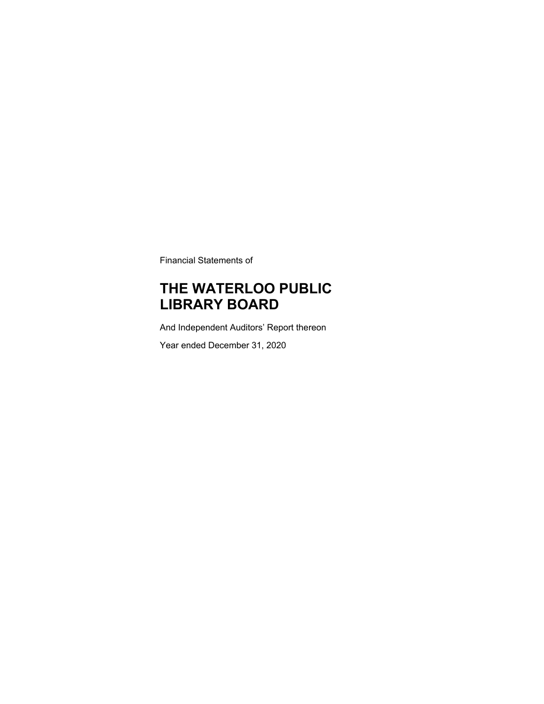Financial Statements of

### **THE WATERLOO PUBLIC LIBRARY BOARD**

And Independent Auditors' Report thereon

Year ended December 31, 2020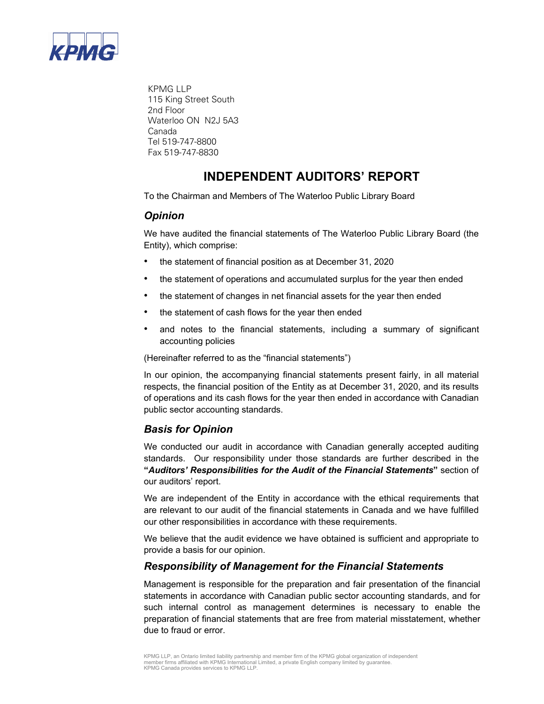

KPMG LLP 115 King Street South 2nd Floor Waterloo ON N2J 5A3 Canada Tel 519-747-8800 Fax 519-747-8830

### **INDEPENDENT AUDITORS' REPORT**

To the Chairman and Members of The Waterloo Public Library Board

### *Opinion*

We have audited the financial statements of The Waterloo Public Library Board (the Entity), which comprise:

- the statement of financial position as at December 31, 2020
- the statement of operations and accumulated surplus for the year then ended
- the statement of changes in net financial assets for the year then ended
- the statement of cash flows for the year then ended
- and notes to the financial statements, including a summary of significant accounting policies

(Hereinafter referred to as the "financial statements")

In our opinion, the accompanying financial statements present fairly, in all material respects, the financial position of the Entity as at December 31, 2020, and its results of operations and its cash flows for the year then ended in accordance with Canadian public sector accounting standards.

### *Basis for Opinion*

We conducted our audit in accordance with Canadian generally accepted auditing standards. Our responsibility under those standards are further described in the **"***Auditors' Responsibilities for the Audit of the Financial Statements***"** section of our auditors' report.

We are independent of the Entity in accordance with the ethical requirements that are relevant to our audit of the financial statements in Canada and we have fulfilled our other responsibilities in accordance with these requirements.

We believe that the audit evidence we have obtained is sufficient and appropriate to provide a basis for our opinion.

### *Responsibility of Management for the Financial Statements*

Management is responsible for the preparation and fair presentation of the financial statements in accordance with Canadian public sector accounting standards, and for such internal control as management determines is necessary to enable the preparation of financial statements that are free from material misstatement, whether due to fraud or error.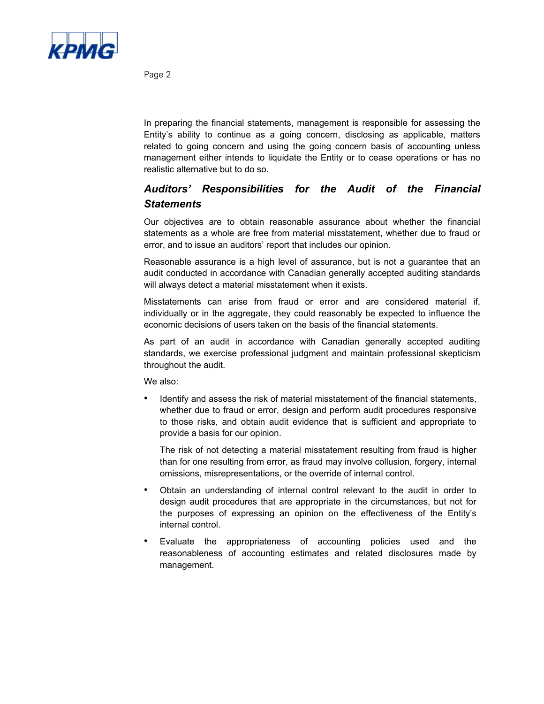

Page 2

In preparing the financial statements, management is responsible for assessing the Entity's ability to continue as a going concern, disclosing as applicable, matters related to going concern and using the going concern basis of accounting unless management either intends to liquidate the Entity or to cease operations or has no realistic alternative but to do so.

### *Auditors' Responsibilities for the Audit of the Financial Statements*

Our objectives are to obtain reasonable assurance about whether the financial statements as a whole are free from material misstatement, whether due to fraud or error, and to issue an auditors' report that includes our opinion.

Reasonable assurance is a high level of assurance, but is not a guarantee that an audit conducted in accordance with Canadian generally accepted auditing standards will always detect a material misstatement when it exists.

Misstatements can arise from fraud or error and are considered material if, individually or in the aggregate, they could reasonably be expected to influence the economic decisions of users taken on the basis of the financial statements.

As part of an audit in accordance with Canadian generally accepted auditing standards, we exercise professional judgment and maintain professional skepticism throughout the audit.

We also:

• Identify and assess the risk of material misstatement of the financial statements, whether due to fraud or error, design and perform audit procedures responsive to those risks, and obtain audit evidence that is sufficient and appropriate to provide a basis for our opinion.

The risk of not detecting a material misstatement resulting from fraud is higher than for one resulting from error, as fraud may involve collusion, forgery, internal omissions, misrepresentations, or the override of internal control.

- Obtain an understanding of internal control relevant to the audit in order to design audit procedures that are appropriate in the circumstances, but not for the purposes of expressing an opinion on the effectiveness of the Entity's internal control.
- Evaluate the appropriateness of accounting policies used and the reasonableness of accounting estimates and related disclosures made by management.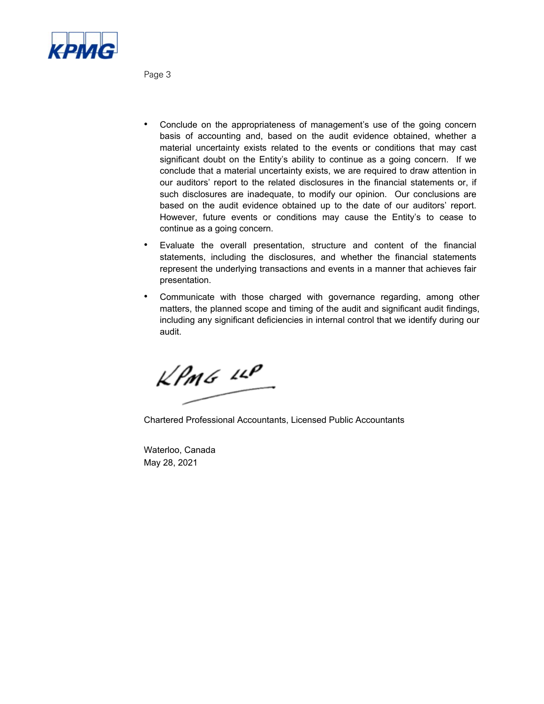

Page 3

- Conclude on the appropriateness of management's use of the going concern basis of accounting and, based on the audit evidence obtained, whether a material uncertainty exists related to the events or conditions that may cast significant doubt on the Entity's ability to continue as a going concern. If we conclude that a material uncertainty exists, we are required to draw attention in our auditors' report to the related disclosures in the financial statements or, if such disclosures are inadequate, to modify our opinion. Our conclusions are based on the audit evidence obtained up to the date of our auditors' report. However, future events or conditions may cause the Entity's to cease to continue as a going concern.
- Evaluate the overall presentation, structure and content of the financial statements, including the disclosures, and whether the financial statements represent the underlying transactions and events in a manner that achieves fair presentation.
- Communicate with those charged with governance regarding, among other matters, the planned scope and timing of the audit and significant audit findings, including any significant deficiencies in internal control that we identify during our audit.

 $k$ *PMG*  $11$ 

Chartered Professional Accountants, Licensed Public Accountants

Waterloo, Canada May 28, 2021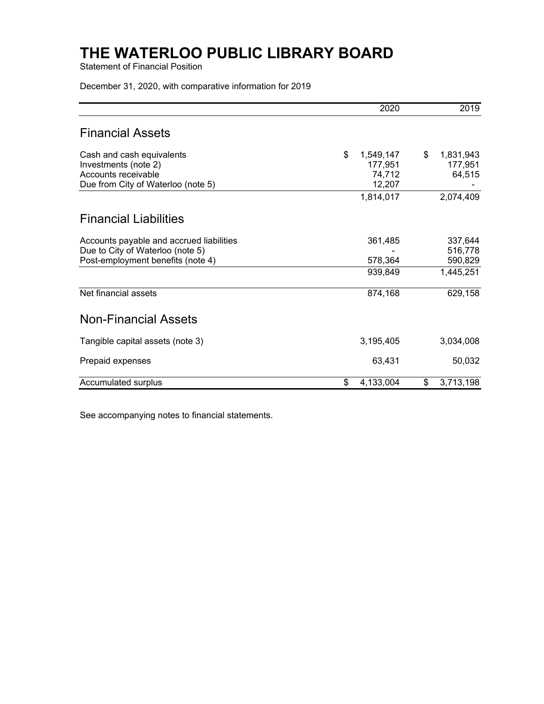Statement of Financial Position

December 31, 2020, with comparative information for 2019

|                                                                                                                   | 2020                                           |                 | 2019                          |
|-------------------------------------------------------------------------------------------------------------------|------------------------------------------------|-----------------|-------------------------------|
| <b>Financial Assets</b>                                                                                           |                                                |                 |                               |
| Cash and cash equivalents<br>Investments (note 2)<br>Accounts receivable<br>Due from City of Waterloo (note 5)    | \$<br>1,549,147<br>177,951<br>74,712<br>12,207 | \$<br>1,831,943 | 177,951<br>64,515             |
|                                                                                                                   | 1,814,017                                      | 2,074,409       |                               |
| <b>Financial Liabilities</b>                                                                                      |                                                |                 |                               |
| Accounts payable and accrued liabilities<br>Due to City of Waterloo (note 5)<br>Post-employment benefits (note 4) | 361,485<br>578,364                             |                 | 337,644<br>516,778<br>590,829 |
|                                                                                                                   | 939,849                                        | 1,445,251       |                               |
| Net financial assets                                                                                              | 874,168                                        |                 | 629,158                       |
| <b>Non-Financial Assets</b>                                                                                       |                                                |                 |                               |
| Tangible capital assets (note 3)                                                                                  | 3,195,405                                      | 3,034,008       |                               |
| Prepaid expenses                                                                                                  | 63,431                                         |                 | 50,032                        |
| Accumulated surplus                                                                                               | \$<br>4,133,004                                | \$<br>3,713,198 |                               |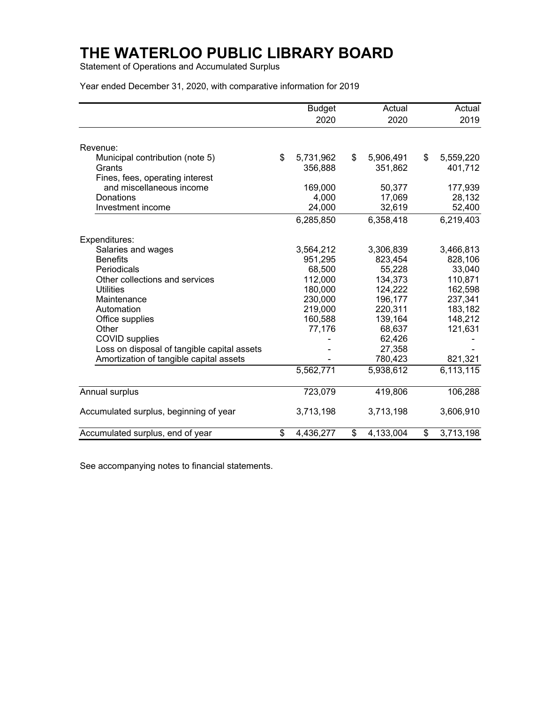Statement of Operations and Accumulated Surplus

Year ended December 31, 2020, with comparative information for 2019

|                                             | <b>Budget</b>   | Actual          | Actual          |
|---------------------------------------------|-----------------|-----------------|-----------------|
|                                             | 2020            | 2020            | 2019            |
|                                             |                 |                 |                 |
| Revenue:                                    |                 |                 |                 |
| Municipal contribution (note 5)             | \$<br>5,731,962 | \$<br>5,906,491 | \$<br>5,559,220 |
| Grants                                      | 356,888         | 351,862         | 401,712         |
| Fines, fees, operating interest             |                 |                 |                 |
| and miscellaneous income                    | 169,000         | 50,377          | 177,939         |
| Donations                                   | 4,000           | 17,069          | 28,132          |
| Investment income                           | 24,000          | 32,619          | 52,400          |
|                                             | 6,285,850       | 6,358,418       | 6,219,403       |
| Expenditures:                               |                 |                 |                 |
| Salaries and wages                          | 3,564,212       | 3,306,839       | 3,466,813       |
| <b>Benefits</b>                             | 951,295         | 823,454         | 828,106         |
| Periodicals                                 | 68,500          | 55,228          | 33,040          |
| Other collections and services              | 112,000         | 134,373         | 110,871         |
| <b>Utilities</b>                            | 180,000         | 124,222         | 162,598         |
| Maintenance                                 | 230,000         | 196,177         | 237,341         |
| Automation                                  | 219,000         | 220,311         | 183,182         |
| Office supplies                             | 160,588         | 139,164         | 148,212         |
| Other                                       | 77,176          | 68,637          | 121,631         |
| <b>COVID</b> supplies                       |                 | 62,426          |                 |
| Loss on disposal of tangible capital assets |                 | 27,358          |                 |
| Amortization of tangible capital assets     |                 | 780,423         | 821,321         |
|                                             | 5,562,771       | 5,938,612       | 6,113,115       |
| Annual surplus                              | 723,079         | 419,806         | 106,288         |
| Accumulated surplus, beginning of year      | 3,713,198       | 3,713,198       | 3,606,910       |
| Accumulated surplus, end of year            | \$<br>4,436,277 | \$<br>4,133,004 | \$<br>3,713,198 |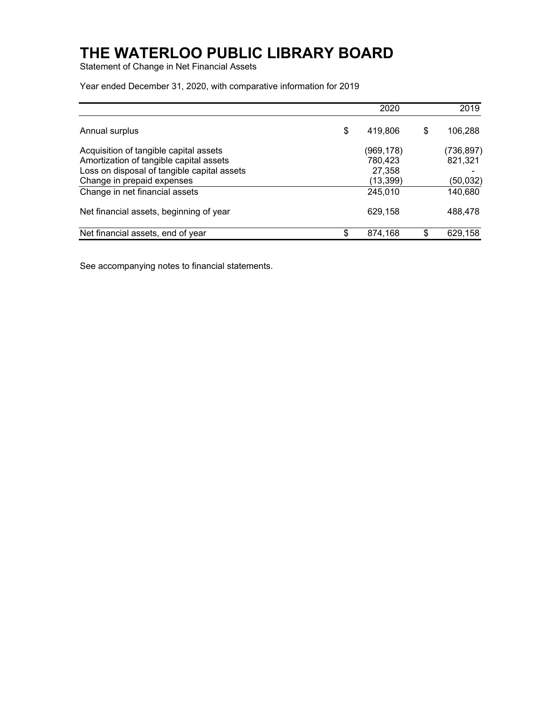Statement of Change in Net Financial Assets

Year ended December 31, 2020, with comparative information for 2019

|                                                                                                                                                                | 2020                                        | 2019                              |
|----------------------------------------------------------------------------------------------------------------------------------------------------------------|---------------------------------------------|-----------------------------------|
| Annual surplus                                                                                                                                                 | \$<br>419,806                               | \$<br>106,288                     |
| Acquisition of tangible capital assets<br>Amortization of tangible capital assets<br>Loss on disposal of tangible capital assets<br>Change in prepaid expenses | (969,178)<br>780,423<br>27,358<br>(13, 399) | (736,897)<br>821,321<br>(50, 032) |
| Change in net financial assets                                                                                                                                 | 245,010                                     | 140,680                           |
| Net financial assets, beginning of year                                                                                                                        | 629,158                                     | 488,478                           |
| Net financial assets, end of year                                                                                                                              | 874,168                                     | \$<br>629,158                     |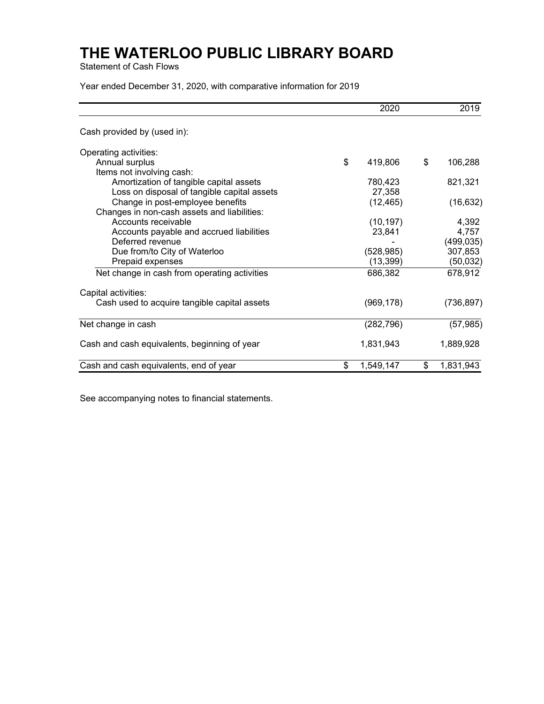Statement of Cash Flows

Year ended December 31, 2020, with comparative information for 2019

|                                              | 2020            | 2019            |
|----------------------------------------------|-----------------|-----------------|
| Cash provided by (used in):                  |                 |                 |
| Operating activities:                        |                 |                 |
| Annual surplus                               | \$<br>419,806   | \$<br>106,288   |
| Items not involving cash:                    |                 |                 |
| Amortization of tangible capital assets      | 780,423         | 821,321         |
| Loss on disposal of tangible capital assets  | 27,358          |                 |
| Change in post-employee benefits             | (12, 465)       | (16, 632)       |
| Changes in non-cash assets and liabilities:  |                 |                 |
| Accounts receivable                          | (10, 197)       | 4,392           |
| Accounts payable and accrued liabilities     | 23,841          | 4,757           |
| Deferred revenue                             |                 | (499, 035)      |
| Due from/to City of Waterloo                 | (528, 985)      | 307,853         |
| Prepaid expenses                             | (13, 399)       | (50, 032)       |
| Net change in cash from operating activities | 686,382         | 678,912         |
| Capital activities:                          |                 |                 |
| Cash used to acquire tangible capital assets | (969, 178)      | (736, 897)      |
| Net change in cash                           | (282, 796)      | (57, 985)       |
| Cash and cash equivalents, beginning of year | 1,831,943       | 1,889,928       |
| Cash and cash equivalents, end of year       | \$<br>1,549,147 | \$<br>1,831,943 |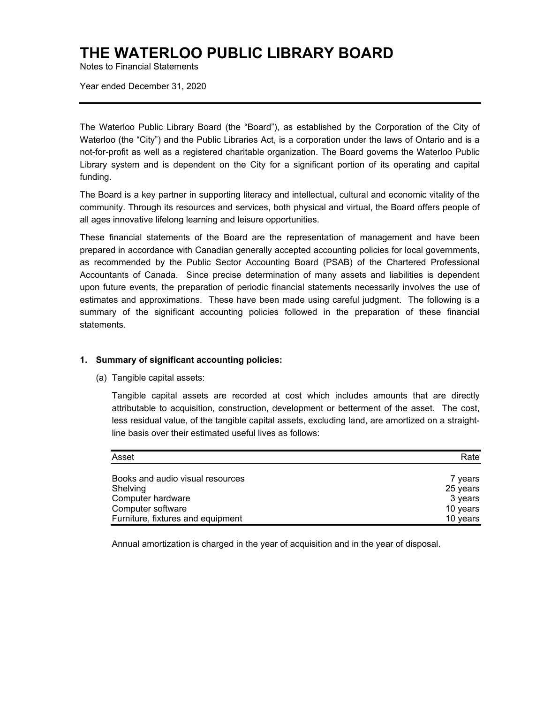Notes to Financial Statements

Year ended December 31, 2020

The Waterloo Public Library Board (the "Board"), as established by the Corporation of the City of Waterloo (the "City") and the Public Libraries Act, is a corporation under the laws of Ontario and is a not-for-profit as well as a registered charitable organization. The Board governs the Waterloo Public Library system and is dependent on the City for a significant portion of its operating and capital funding.

The Board is a key partner in supporting literacy and intellectual, cultural and economic vitality of the community. Through its resources and services, both physical and virtual, the Board offers people of all ages innovative lifelong learning and leisure opportunities.

These financial statements of the Board are the representation of management and have been prepared in accordance with Canadian generally accepted accounting policies for local governments, as recommended by the Public Sector Accounting Board (PSAB) of the Chartered Professional Accountants of Canada. Since precise determination of many assets and liabilities is dependent upon future events, the preparation of periodic financial statements necessarily involves the use of estimates and approximations. These have been made using careful judgment. The following is a summary of the significant accounting policies followed in the preparation of these financial statements.

#### **1. Summary of significant accounting policies:**

(a) Tangible capital assets:

Tangible capital assets are recorded at cost which includes amounts that are directly attributable to acquisition, construction, development or betterment of the asset. The cost, less residual value, of the tangible capital assets, excluding land, are amortized on a straightline basis over their estimated useful lives as follows:

| Asset                             | Rate     |
|-----------------------------------|----------|
|                                   |          |
| Books and audio visual resources  | 7 years  |
| Shelving                          | 25 years |
| Computer hardware                 | 3 years  |
| Computer software                 | 10 years |
| Furniture, fixtures and equipment | 10 years |

Annual amortization is charged in the year of acquisition and in the year of disposal.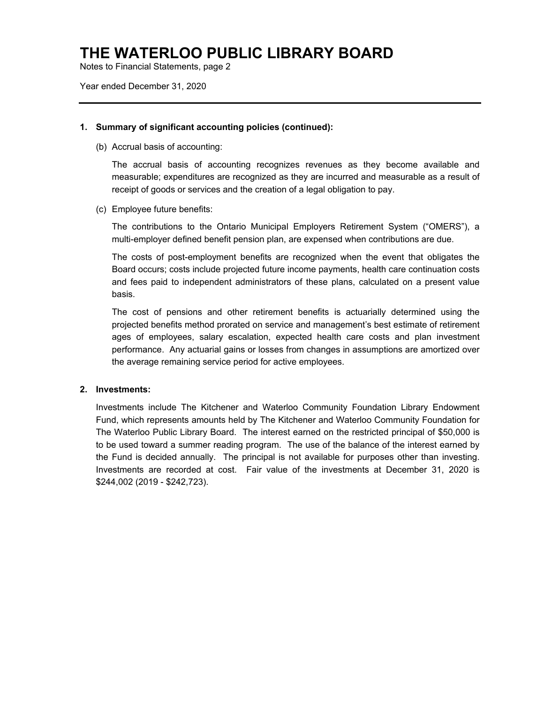Notes to Financial Statements, page 2

Year ended December 31, 2020

#### **1. Summary of significant accounting policies (continued):**

(b) Accrual basis of accounting:

The accrual basis of accounting recognizes revenues as they become available and measurable; expenditures are recognized as they are incurred and measurable as a result of receipt of goods or services and the creation of a legal obligation to pay.

(c) Employee future benefits:

The contributions to the Ontario Municipal Employers Retirement System ("OMERS"), a multi-employer defined benefit pension plan, are expensed when contributions are due.

The costs of post-employment benefits are recognized when the event that obligates the Board occurs; costs include projected future income payments, health care continuation costs and fees paid to independent administrators of these plans, calculated on a present value basis.

The cost of pensions and other retirement benefits is actuarially determined using the projected benefits method prorated on service and management's best estimate of retirement ages of employees, salary escalation, expected health care costs and plan investment performance. Any actuarial gains or losses from changes in assumptions are amortized over the average remaining service period for active employees.

### **2. Investments:**

Investments include The Kitchener and Waterloo Community Foundation Library Endowment Fund, which represents amounts held by The Kitchener and Waterloo Community Foundation for The Waterloo Public Library Board. The interest earned on the restricted principal of \$50,000 is to be used toward a summer reading program. The use of the balance of the interest earned by the Fund is decided annually. The principal is not available for purposes other than investing. Investments are recorded at cost. Fair value of the investments at December 31, 2020 is \$244,002 (2019 - \$242,723).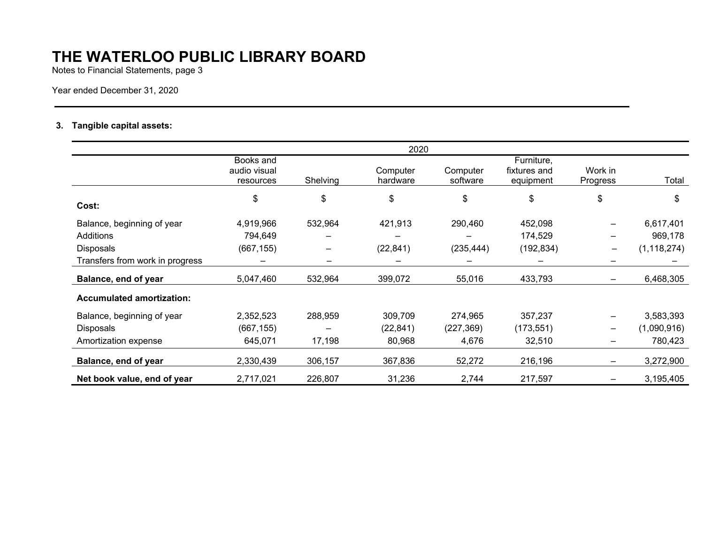Notes to Financial Statements, page 3

Year ended December 31, 2020

### **3. Tangible capital assets:**

|                                  |                                        |          | 2020                 |                      |                                         |                          |               |
|----------------------------------|----------------------------------------|----------|----------------------|----------------------|-----------------------------------------|--------------------------|---------------|
|                                  | Books and<br>audio visual<br>resources | Shelving | Computer<br>hardware | Computer<br>software | Furniture,<br>fixtures and<br>equipment | Work in<br>Progress      | Total         |
| Cost:                            | \$                                     | \$       | \$                   | \$                   | \$                                      | \$                       | \$            |
| Balance, beginning of year       | 4,919,966                              | 532,964  | 421,913              | 290,460              | 452,098                                 | -                        | 6,617,401     |
| Additions                        | 794,649                                |          |                      |                      | 174,529                                 | $\overline{\phantom{0}}$ | 969,178       |
| <b>Disposals</b>                 | (667, 155)                             |          | (22, 841)            | (235, 444)           | (192, 834)                              | $\overline{\phantom{m}}$ | (1, 118, 274) |
| Transfers from work in progress  |                                        |          |                      |                      |                                         | —                        |               |
| Balance, end of year             | 5,047,460                              | 532,964  | 399,072              | 55,016               | 433,793                                 | $\overline{\phantom{0}}$ | 6,468,305     |
| <b>Accumulated amortization:</b> |                                        |          |                      |                      |                                         |                          |               |
| Balance, beginning of year       | 2,352,523                              | 288,959  | 309,709              | 274,965              | 357,237                                 | $\overline{\phantom{0}}$ | 3,583,393     |
| <b>Disposals</b>                 | (667, 155)                             |          | (22, 841)            | (227, 369)           | (173, 551)                              | $\qquad \qquad \qquad$   | (1,090,916)   |
| Amortization expense             | 645,071                                | 17,198   | 80,968               | 4,676                | 32,510                                  | -                        | 780,423       |
| Balance, end of year             | 2,330,439                              | 306,157  | 367,836              | 52,272               | 216,196                                 | $\overline{\phantom{0}}$ | 3,272,900     |
| Net book value, end of year      | 2,717,021                              | 226,807  | 31,236               | 2,744                | 217,597                                 |                          | 3,195,405     |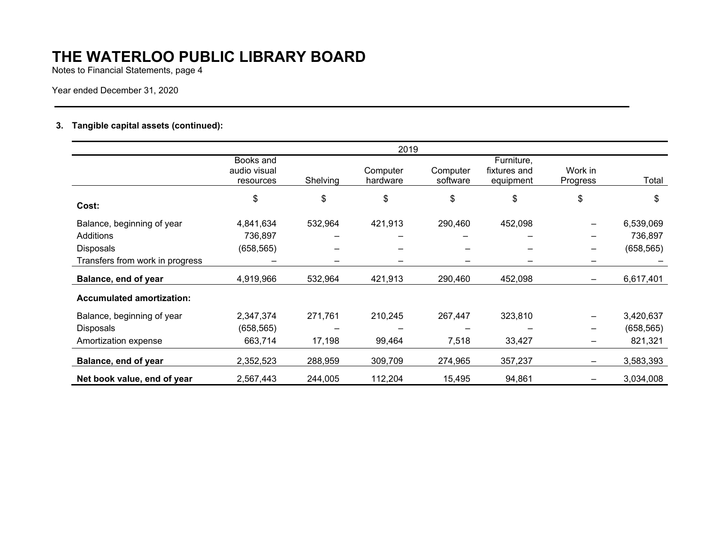Notes to Financial Statements, page 4

Year ended December 31, 2020

### **3. Tangible capital assets (continued):**

|                                  | 2019                                   |          |                      |                      |                                         |                              |            |
|----------------------------------|----------------------------------------|----------|----------------------|----------------------|-----------------------------------------|------------------------------|------------|
|                                  | Books and<br>audio visual<br>resources | Shelving | Computer<br>hardware | Computer<br>software | Furniture,<br>fixtures and<br>equipment | Work in<br>Progress          | Total      |
| Cost:                            | \$                                     | \$       | \$                   | \$                   | \$                                      | \$                           | \$         |
| Balance, beginning of year       | 4,841,634                              | 532,964  | 421,913              | 290,460              | 452,098                                 |                              | 6,539,069  |
| Additions                        | 736,897                                |          |                      |                      |                                         | -                            | 736,897    |
| <b>Disposals</b>                 | (658, 565)                             |          |                      |                      |                                         | -                            | (658, 565) |
| Transfers from work in progress  |                                        |          |                      |                      |                                         | -                            |            |
| Balance, end of year             | 4,919,966                              | 532,964  | 421,913              | 290,460              | 452,098                                 |                              | 6,617,401  |
| <b>Accumulated amortization:</b> |                                        |          |                      |                      |                                         |                              |            |
| Balance, beginning of year       | 2,347,374                              | 271,761  | 210,245              | 267,447              | 323,810                                 | $\qquad \qquad \blacksquare$ | 3,420,637  |
| <b>Disposals</b>                 | (658, 565)                             |          |                      |                      |                                         | $\qquad \qquad \qquad$       | (658, 565) |
| Amortization expense             | 663,714                                | 17,198   | 99,464               | 7,518                | 33,427                                  | $\qquad \qquad \blacksquare$ | 821,321    |
| Balance, end of year             | 2,352,523                              | 288,959  | 309,709              | 274,965              | 357,237                                 | -                            | 3,583,393  |
| Net book value, end of year      | 2,567,443                              | 244,005  | 112,204              | 15,495               | 94,861                                  |                              | 3,034,008  |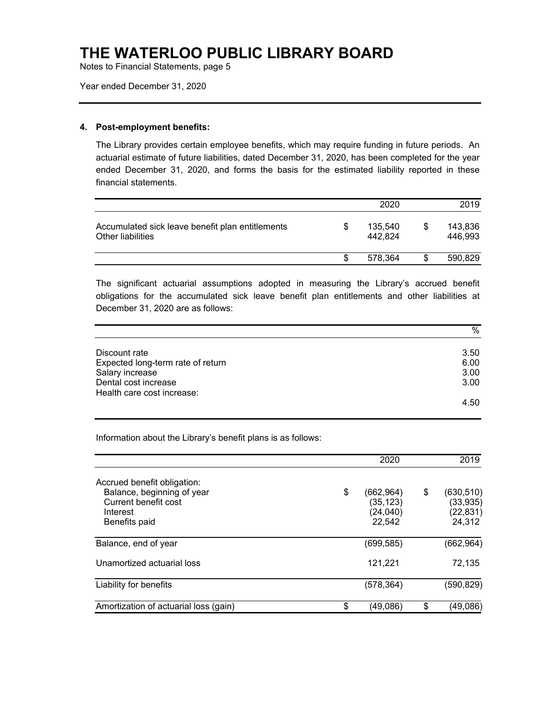Notes to Financial Statements, page 5

Year ended December 31, 2020

#### **4. Post-employment benefits:**

The Library provides certain employee benefits, which may require funding in future periods. An actuarial estimate of future liabilities, dated December 31, 2020, has been completed for the year ended December 31, 2020, and forms the basis for the estimated liability reported in these financial statements.

|                                                                       |    | 2020               |    | 2019               |
|-----------------------------------------------------------------------|----|--------------------|----|--------------------|
| Accumulated sick leave benefit plan entitlements<br>Other liabilities | S  | 135,540<br>442.824 | \$ | 143,836<br>446.993 |
|                                                                       | -S | 578.364            | S  | 590,829            |

The significant actuarial assumptions adopted in measuring the Library's accrued benefit obligations for the accumulated sick leave benefit plan entitlements and other liabilities at December 31, 2020 are as follows:

|                                   | %    |
|-----------------------------------|------|
|                                   |      |
| Discount rate                     | 3.50 |
| Expected long-term rate of return | 6.00 |
| Salary increase                   | 3.00 |
| Dental cost increase              | 3.00 |
| Health care cost increase:        |      |
|                                   | 4.50 |

Information about the Library's benefit plans is as follows:

|                                                                                                                | 2020                                                 | 2019                                                 |
|----------------------------------------------------------------------------------------------------------------|------------------------------------------------------|------------------------------------------------------|
| Accrued benefit obligation:<br>Balance, beginning of year<br>Current benefit cost<br>Interest<br>Benefits paid | \$<br>(662, 964)<br>(35, 123)<br>(24, 040)<br>22,542 | \$<br>(630, 510)<br>(33, 935)<br>(22, 831)<br>24,312 |
| Balance, end of year                                                                                           | (699, 585)                                           | (662, 964)                                           |
| Unamortized actuarial loss                                                                                     | 121,221                                              | 72,135                                               |
| Liability for benefits                                                                                         | (578,364)                                            | (590,829)                                            |
| Amortization of actuarial loss (gain)                                                                          | \$<br>(49,086)                                       | \$<br>(49,086)                                       |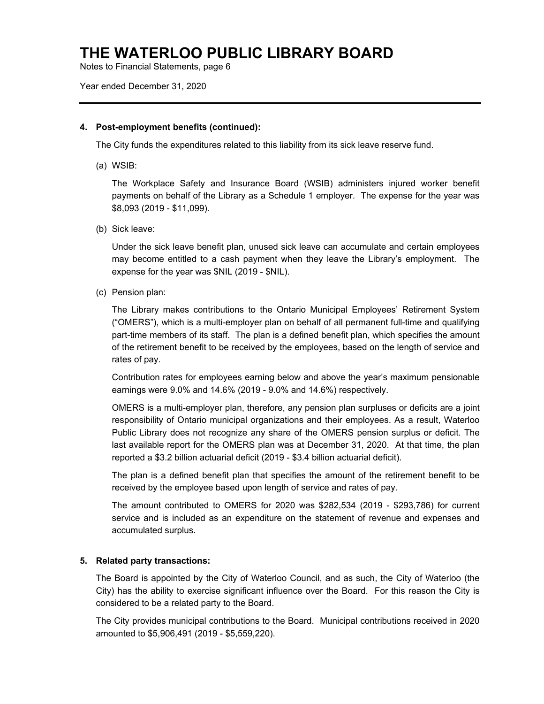Notes to Financial Statements, page 6

#### Year ended December 31, 2020

#### **4. Post-employment benefits (continued):**

The City funds the expenditures related to this liability from its sick leave reserve fund.

(a) WSIB:

The Workplace Safety and Insurance Board (WSIB) administers injured worker benefit payments on behalf of the Library as a Schedule 1 employer. The expense for the year was \$8,093 (2019 - \$11,099).

(b) Sick leave:

Under the sick leave benefit plan, unused sick leave can accumulate and certain employees may become entitled to a cash payment when they leave the Library's employment. The expense for the year was \$NIL (2019 - \$NIL).

(c) Pension plan:

The Library makes contributions to the Ontario Municipal Employees' Retirement System ("OMERS"), which is a multi-employer plan on behalf of all permanent full-time and qualifying part-time members of its staff. The plan is a defined benefit plan, which specifies the amount of the retirement benefit to be received by the employees, based on the length of service and rates of pay.

Contribution rates for employees earning below and above the year's maximum pensionable earnings were 9.0% and 14.6% (2019 - 9.0% and 14.6%) respectively.

OMERS is a multi-employer plan, therefore, any pension plan surpluses or deficits are a joint responsibility of Ontario municipal organizations and their employees. As a result, Waterloo Public Library does not recognize any share of the OMERS pension surplus or deficit. The last available report for the OMERS plan was at December 31, 2020. At that time, the plan reported a \$3.2 billion actuarial deficit (2019 - \$3.4 billion actuarial deficit).

The plan is a defined benefit plan that specifies the amount of the retirement benefit to be received by the employee based upon length of service and rates of pay.

The amount contributed to OMERS for 2020 was \$282,534 (2019 - \$293,786) for current service and is included as an expenditure on the statement of revenue and expenses and accumulated surplus.

#### **5. Related party transactions:**

The Board is appointed by the City of Waterloo Council, and as such, the City of Waterloo (the City) has the ability to exercise significant influence over the Board. For this reason the City is considered to be a related party to the Board.

The City provides municipal contributions to the Board. Municipal contributions received in 2020 amounted to \$5,906,491 (2019 - \$5,559,220).